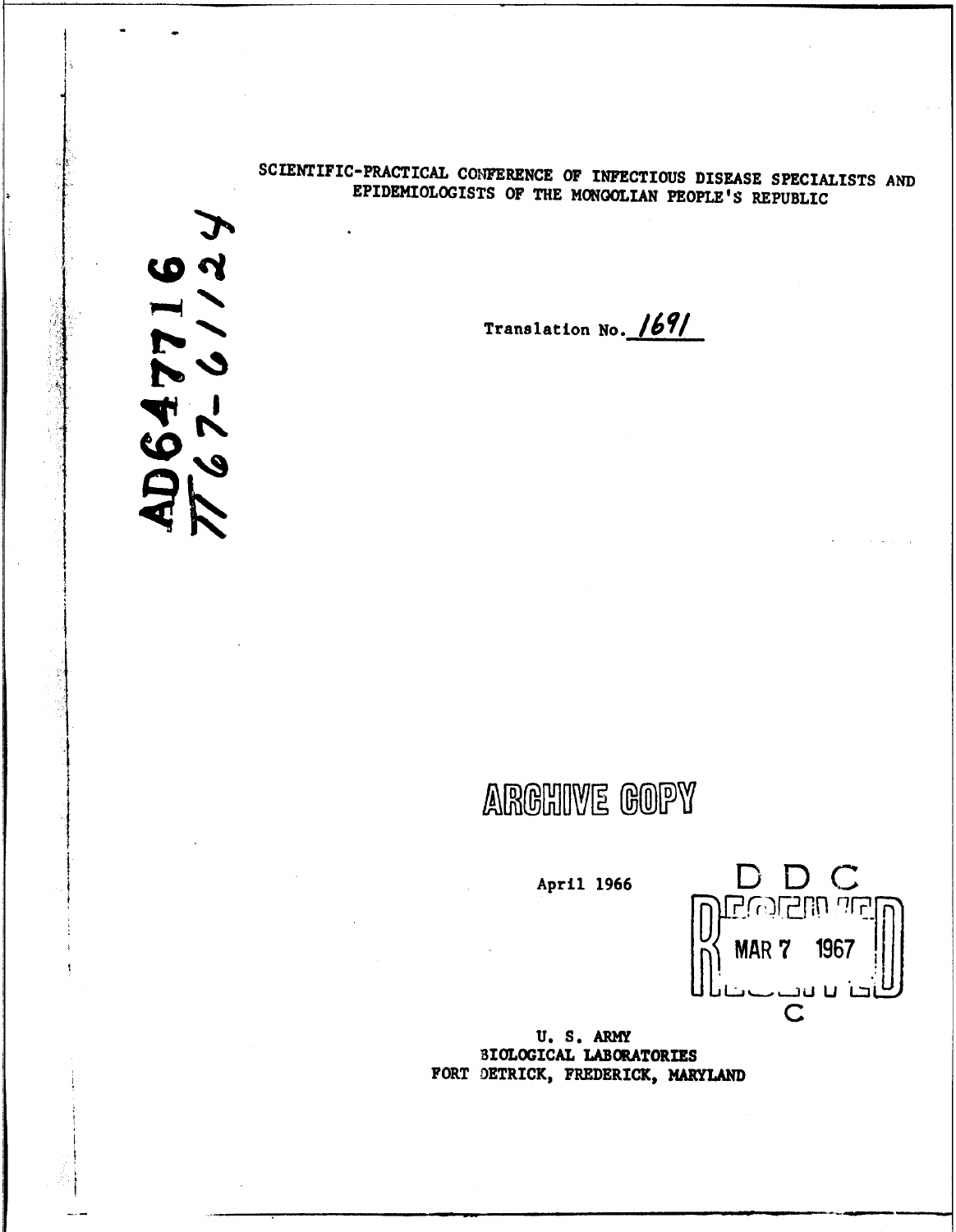62 1124721

SCIENTIFIC-PRACTICAL CONFERENCE OF INFECTIOUS DISEASE SPECIALISTS AND EPIDEMIOLOGISTS OF THE MONGOLIAN PEOPLE **'S** REPUBLIC

Translation No. **1691** 

## ARGHIVE GOPY

April 1966<br>**April 1966** D D Q Q O P FIN MAR 7 1967 '-,.. **U** U 'iL= **c**

**U. S.** ARMY BIOLOGICAL LABORATORIES FORT DETRICK, FREDERICK, MARYLAND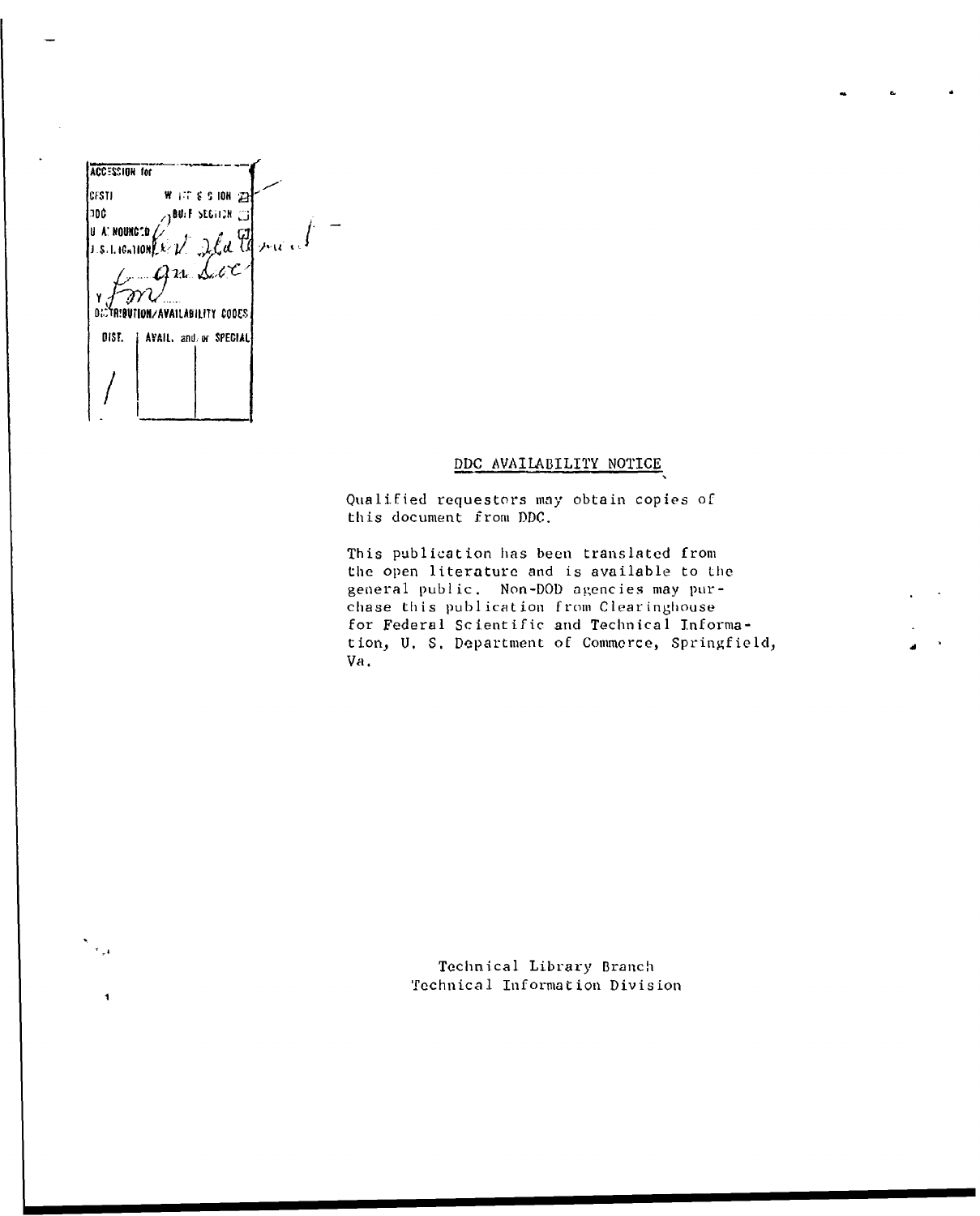| <b>ACCESSION for</b> |                                                                     |
|----------------------|---------------------------------------------------------------------|
| CFSTI                | WIRES TON 23                                                        |
| 900                  | ET NOTIBE THE                                                       |
| U A: NOUNC (D $\ell$ |                                                                     |
|                      |                                                                     |
|                      | 1. S. L. 10-110N x V Ila Carrier<br>DISTRIBUTION/AVAILABILITY CODES |
| DIST.                | <b>I AVAIL, and or SPECIAL</b>                                      |
|                      |                                                                     |

 $\sigma_{\rm{tot}}$ 

 $\mathbf{I}$ 

## DDC AVAILABILITY NOTICE

Qualified requestors may obtain copies of this document from DDC.

This publication has been translated from the open literature and is available to the general public. Non-DOD agencies may purchase this publication from Clearinghouse for Federal Scientific and Technical Information, U. S. Department of Commerce, Springfield, Va.

> Technical Library Branch Technical Information Division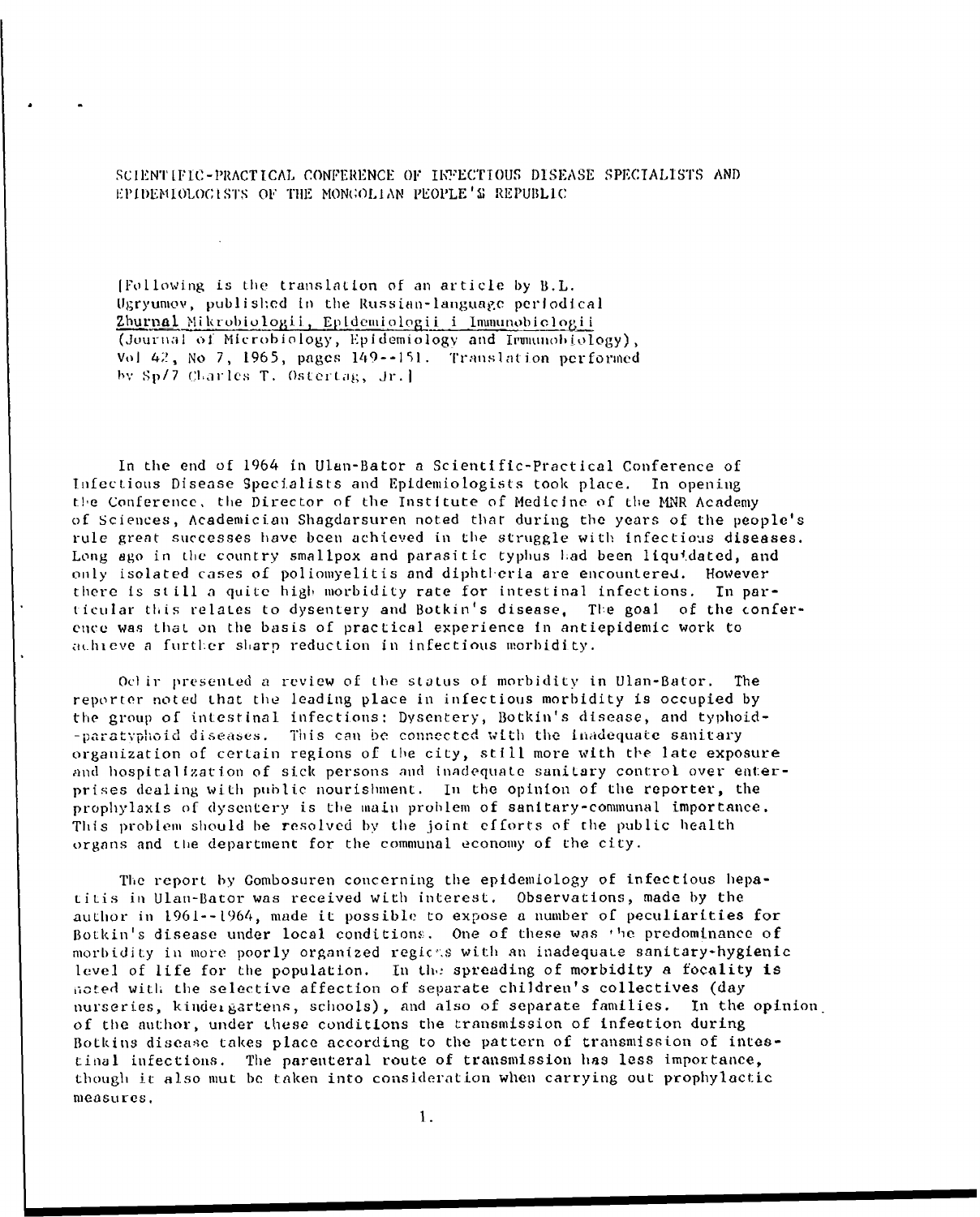SCIENTIFIC-PRACTICAL CONFERENCE OF INTECTIOUS DISEASE SPECIALISTS AND EPIDEMIOLOGISTS OF THE MONGOLIAN PEOPLE'S REPUBLIC

[Following is the translation of an article by B.L. Ugryumov, published in the Russian-language periodical Zburnal Mikrobiologii, Epidemiologii i Immunobiologii (Journal of Microbiology, Epidemiology and Irmunobiology), Vol 42, No 7, 1965, pages 149--151. Translation performed by Sp/7 Charles T. Ostertag, Jr.]

In the end of 1964 in Ulan-Bator a Scientific-Practical Conference of Infectious Disease Specialists and Epidemiologists took place. In opening the Conference, the Director of the Institute of Medicine of the MNR Academy of Sciences, Academician Shagdarsuren noted that during the years of the people's rule great successes have been achieved in the struggle with infectious diseases. Long ago in the country smallpox and parasitic typhus had been liquidated, and only isolated cases of poliomyelitis and diphtberia are encountered. However there is still a quite high morbidity rate for intestinal infections. In particular this relates to dysentery and Botkin's disease, The goal of the conference was that on the basis of practical experience in antiepidemic work to achieve a further sharp reduction in infectious morbidity.

Oclir presented a review of the status of morbidity in Ulan-Bator. The reporter noted that the leading place in infectious morbidity is occupied by the group of intestinal infections: Dysentery, Botkin's disease, and typhoid--paratyphoid diseases. This can be connected with the inadequate sanitary organization of certain regions of the city, still more with the late exposure and hospitalization of sick persons and inadequate sanitary control over enterprises dealing with public nourishment. In the opinion of the reporter, the prophylaxis of dysentery is the main problem of sanitary-communal importance. This problem should be resolved by the joint efforts of the public health organs and the department for the communal economy of the city.

The report by Combosuren concerning the epidemiology of infectious hepatitis in Ulan-Bator was received with interest. Observations, made by the author in 1961--1964, made it possible to expose a number of peculiarities for Botkin's disease under local conditions. One of these was the predominance of morbidity in more poorly organized regions with an inadequate sanitary-hygienic level of life for the population. In the spreading of morbidity a focality is noted with the selective affection of separate children's collectives (day nurseries, kindergartens, schools), and also of separate families. In the opinion of the author, under these conditions the transmission of infection during Botkins disease takes place according to the pattern of transmission of intestinal infections. The parenteral route of transmission has less importance, though it also mut be taken into consideration when carrying out prophylactic measures.

 $\mathbf{1}$ .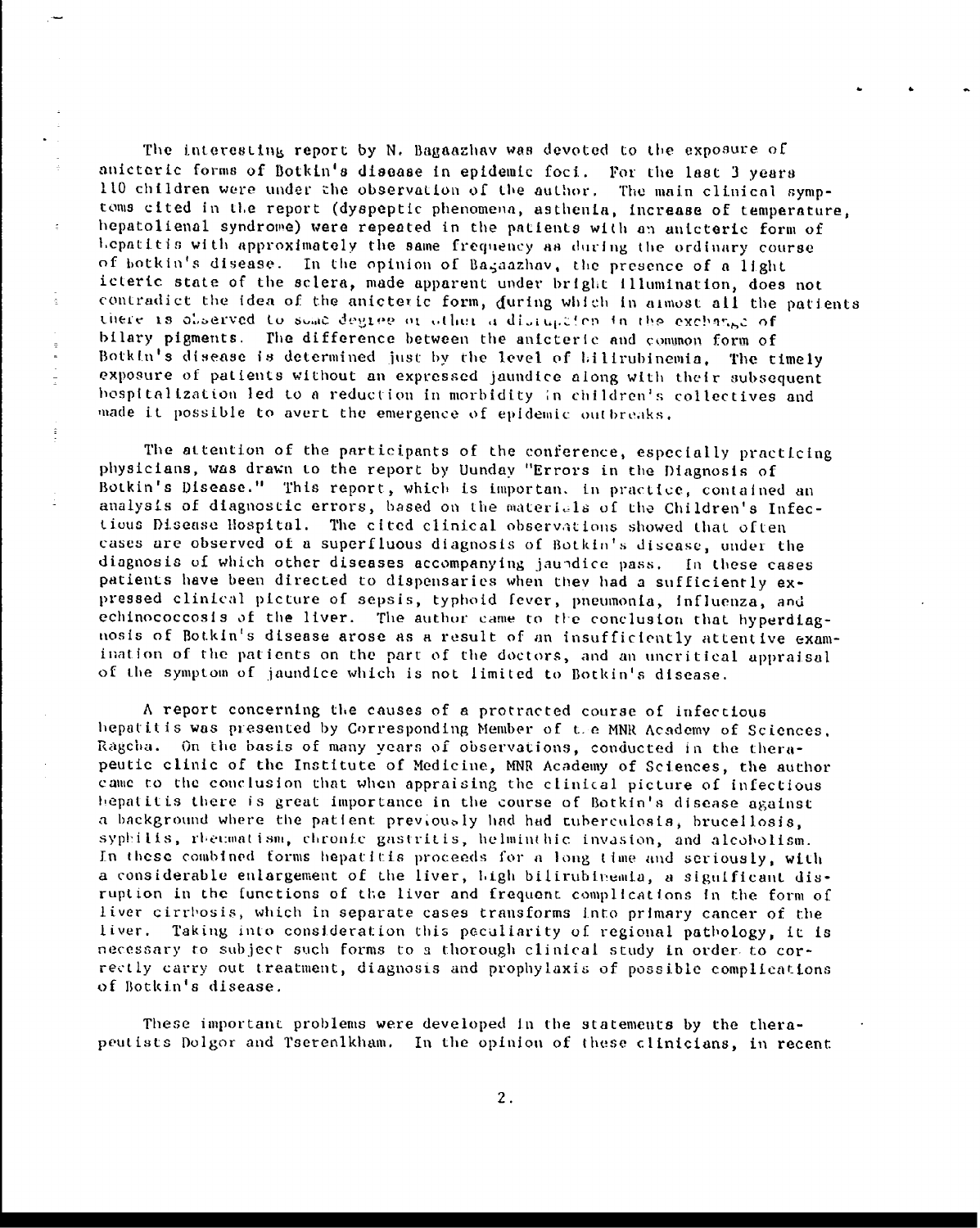The interesting report by N. Bagaazhav was devoted to the exposure of anicteric forms of Botkin's disease in epidemic foci. For the last 3 years 110 children were under the observation of the author. The main clinical symptoms cited in the report (dyspeptic phenomena, asthenia, increase of temperature, hepatolienal syndrome) were repeated in the patients with an anicteric form of hepatitis with approximately the same frequency as during the ordinary course of botkin's disease. In the opinion of Bagaazhav, the presence of a light icteric state of the sclera, made apparent under bright illumination, does not contradict the idea of the anicteric form, during which in almost all the patients there is observed to some degree or other a dividation in the exchange of S bilary pigments. Dime difference between the anicteric **and** common form of Botkin's disease is determined just by rhe level of hiilirubinemia, The timely exposure of patients without an expressed jaundice along with their subsequent hospitalization led to a reduction in morbidity in children's collectives and made it possible to avert the emergence of epidemic outbreaks.

 $\frac{1}{\pi}$ 

 $\frac{1}{2}$ 

The attention of the participants of the conference, especially practicing physicians, was draWn to the report by Uunday "Errors in the Diagnosis of Botkin's Disease." This report, which is importan. in practice, contained an analysis of diagnostic errors, based on the materials of the Children's Infectious Disease Hospital. The cited clinical observations showed that often cases are observed of a superfluous diagnosis of Botkin's disease, under the diagnosis of which other diseases accompanying jaundice pass. In these cases patients have been directed to dispensaries when they had a sufficiently expressed clinical picture of sepsis, typhoid fever, pneumonia, Influenza, and echinococcosis of the liver. The author came to the conclusion that hyperdiagnosis of Botkin's disease arose as a result of an insufficiently attentive examination of the patients on the part of the doctors, and an uncritical appraisal of the symptom of jaundice which is not limited to Botkin's disease.

A report concerning tlhe causes of a protracted course of infectious hepatitis was presented **by** Corresponding Member of t. e MNR Academy of Sciences. Ragcha. On the basis of many years of observations, conducted in the therapeutic clinic of the Institute of Medicine, **MNR** Academy of Sciences, the author came to the conclusion that when appraising the clinical picture of infectious hepatitis there is great importance in the course of Botkin's disease against a background where the patient previously had had tuberculosis, brucellosis, syphilis, rheumatism, chronic gastritis, helminthic invasion, and alcoholism. In these combined forms hepatitis proceeds for a long time and seriously, with a considerable enlargement of the liver, high bilirubinemia, a significant disruption in the functions of the liver and frequent complications In the form of liver cirrhosis, which in separate cases transforms into primary cancer of the liver. Taking into consideration this peculiarity of regional pathology, it is necessary to subject such forms to **a** thorough clinical study in order to correctly carry out treatment, diagnosis and prophylaxis of possible complications of Botkin's disease.

These important problems were developed in the statements by the therapeutists Dolgor and Tserenlkham. In the opinion of these clinicians, in recent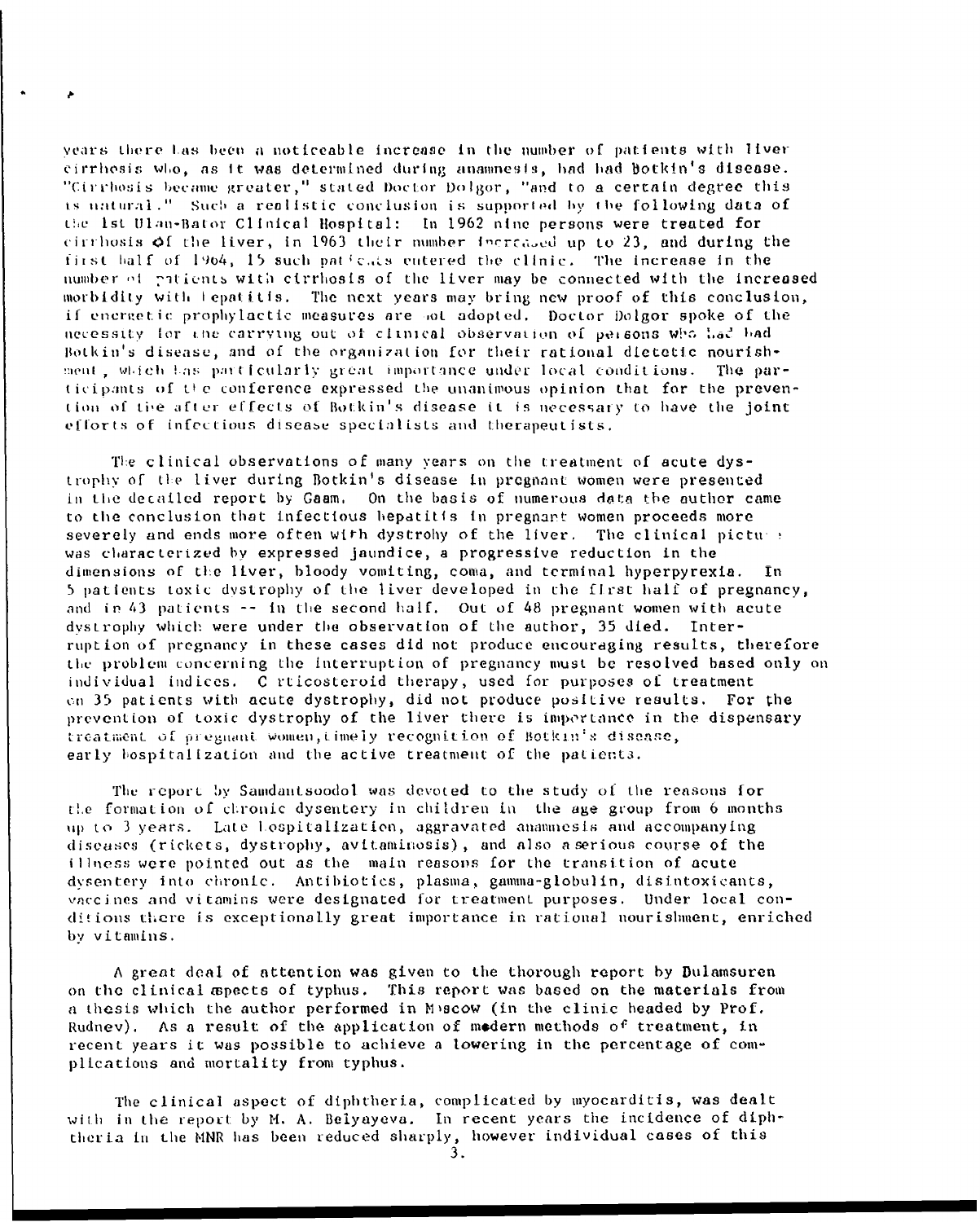years there has been a noticeable increase in the number of patients with liver cirrhosis who, as it was determined during anamnesis, had had botkin's disease. "Cirrhosis became greater," stated Doctor Dolgor, "and to a certain degree this is natural." Such a realistic conclusion is supported by the following data of the 1st Ulan-Bator Clinical Hospital: In 1962 nine persons were treated for cirrhosis of the liver, in 1963 their number increased up to 23, and during the first balf of 1964, 15 such paticals entered the clinic. The increase in the number of patients with cirrhosis of the liver may be connected with the increased morbidity with lepatitis. The next years may bring new proof of this conclusion, if encreatic prophylactic measures are not adopted. Doctor Dolgor spoke of the necessity for the carrying out of clinical observation of persons who had had Botkin's disease, and of the organization for their rational dietetic nourishment, which has particularly great importance under local conditions. The participants of the conference expressed the unanimous opinion that for the prevention of the after effects of Botkin's disease it is necessary to have the joint efforts of infectious disease specialists and therapeutists.

The clinical observations of many years on the treatment of acute dystrophy of the liver during Botkin's disease in prognant women were presented in the decailed report by Gaam. On the basis of numerous data the author came to the conclusion that infectious bepatitis in pregnant women proceeds more severely and ends more often with dystrohy of the liver. The clinical pictuse was characterized by expressed jaundice, a progressive reduction in the dimensions of the liver, bloody vomiting, coma, and terminal hyperpyrexia. Tn. 5 patients toxic dystrophy of the liver developed in the first half of pregnancy, and in 43 patients -- in the second half. Out of 48 pregnant women with acute dystrophy which were under the observation of the author, 35 died. Interruption of pregnancy in these cases did not produce encouraging results, therefore the problem concerning the interruption of pregnancy must be resolved based only on individual indices. C rticosteroid therapy, used for purposes of treatment on 35 patients with acute dystrophy, did not produce positive results. For the prevention of toxic dystrophy of the liver there is importance in the dispensary treatment of pregnant women, timely recognition of Botkin's disease, early bospitalization and the active treatment of the patients.

The report by Samdantsoodol was devoted to the study of the reasons for the formation of chronic dysentery in children in the age group from 6 months up to 3 years. Late Lospitalization, aggravated anamnesis and accompanying diseases (rickets, dystrophy, avitaminosis), and also aserious course of the illness were pointed out as the main reasons for the transition of acute dysentery into chronic. Antibiotics, plasma, gamma-globulin, disintoxicants, vaccines and vitamins were designated for treatment purposes. Under local conditions there is exceptionally great importance in rational nourishment, enriched by vitamins.

A great deal of attention was given to the thorough report by Dulamsuren on the clinical aspects of typhus. This report was based on the materials from a thesis which the author performed in M) scow (in the clinic headed by Prof. Rudney). As a result of the application of modern methods of treatment, in recent years it was possible to achieve a lowering in the percentage of complications and mortality from typhus.

The clinical aspect of diphtheria, complicated by myocarditis, was dealt with in the report by M. A. Belyayeva. In recent years the incidence of diphtheria in the MNR has been reduced sharply, however individual cases of this